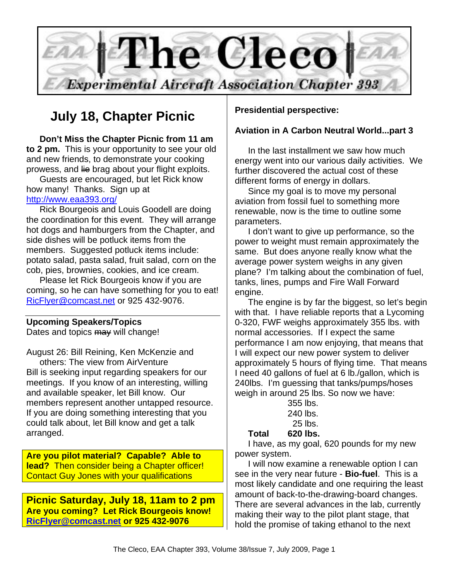

# **July 18, Chapter Picnic**

**Don't Miss the Chapter Picnic from 11 am to 2 pm.** This is your opportunity to see your old and new friends, to demonstrate your cooking prowess, and lie brag about your flight exploits.

Guests are encouraged, but let Rick know how many! Thanks. Sign up at http://www.eaa393.org/

Rick Bourgeois and Louis Goodell are doing the coordination for this event. They will arrange hot dogs and hamburgers from the Chapter, and side dishes will be potluck items from the members. Suggested potluck items include: potato salad, pasta salad, fruit salad, corn on the cob, pies, brownies, cookies, and ice cream.

Please let Rick Bourgeois know if you are coming, so he can have something for you to eat! RicFlyer@comcast.net or 925 432-9076.

## **Upcoming Speakers/Topics**

Dates and topics may will change!

August 26: Bill Reining, Ken McKenzie and others: The view from AirVenture Bill is seeking input regarding speakers for our meetings. If you know of an interesting, willing and available speaker, let Bill know. Our members represent another untapped resource. If you are doing something interesting that you could talk about, let Bill know and get a talk arranged.

**Are you pilot material? Capable? Able to lead?** Then consider being a Chapter officer! Contact Guy Jones with your qualifications

**Picnic Saturday, July 18, 11am to 2 pm Are you coming? Let Rick Bourgeois know! RicFlyer@comcast.net or 925 432-9076** 

## **Presidential perspective:**

## **Aviation in A Carbon Neutral World...part 3**

In the last installment we saw how much energy went into our various daily activities. We further discovered the actual cost of these different forms of energy in dollars.

Since my goal is to move my personal aviation from fossil fuel to something more renewable, now is the time to outline some parameters.

I don't want to give up performance, so the power to weight must remain approximately the same. But does anyone really know what the average power system weighs in any given plane? I'm talking about the combination of fuel, tanks, lines, pumps and Fire Wall Forward engine.

The engine is by far the biggest, so let's begin with that. I have reliable reports that a Lycoming 0-320, FWF weighs approximately 355 lbs. with normal accessories. If I expect the same performance I am now enjoying, that means that I will expect our new power system to deliver approximately 5 hours of flying time. That means I need 40 gallons of fuel at 6 lb./gallon, which is 240lbs. I'm guessing that tanks/pumps/hoses weigh in around 25 lbs. So now we have:

|  | 355 lbs. |
|--|----------|
|  | 240 lbs. |
|  | 25 lbs.  |
|  |          |

**Total 620 lbs.** 

I have, as my goal, 620 pounds for my new power system.

I will now examine a renewable option I can see in the very near future - **Bio-fuel**. This is a most likely candidate and one requiring the least amount of back-to-the-drawing-board changes. There are several advances in the lab, currently making their way to the pilot plant stage, that hold the promise of taking ethanol to the next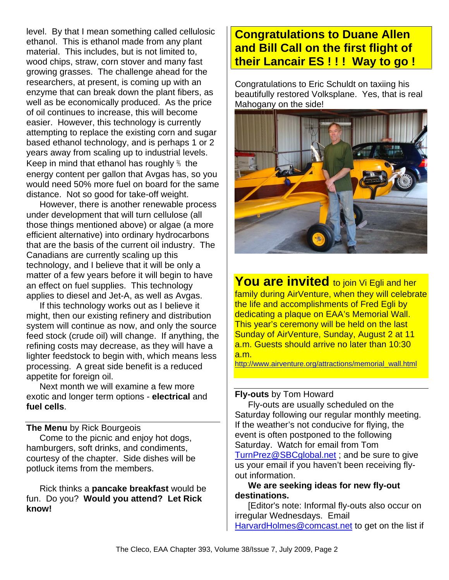level. By that I mean something called cellulosic ethanol. This is ethanol made from any plant material. This includes, but is not limited to, wood chips, straw, corn stover and many fast growing grasses. The challenge ahead for the researchers, at present, is coming up with an enzyme that can break down the plant fibers, as well as be economically produced. As the price of oil continues to increase, this will become easier. However, this technology is currently attempting to replace the existing corn and sugar based ethanol technology, and is perhaps 1 or 2 years away from scaling up to industrial levels. Keep in mind that ethanol has roughly ⅔ the energy content per gallon that Avgas has, so you would need 50% more fuel on board for the same distance. Not so good for take-off weight.

However, there is another renewable process under development that will turn cellulose (all those things mentioned above) or algae (a more efficient alternative) into ordinary hydrocarbons that are the basis of the current oil industry. The Canadians are currently scaling up this technology, and I believe that it will be only a matter of a few years before it will begin to have an effect on fuel supplies. This technology applies to diesel and Jet-A, as well as Avgas.

If this technology works out as I believe it might, then our existing refinery and distribution system will continue as now, and only the source feed stock (crude oil) will change. If anything, the refining costs may decrease, as they will have a lighter feedstock to begin with, which means less processing. A great side benefit is a reduced appetite for foreign oil.

Next month we will examine a few more exotic and longer term options - **electrical** and **fuel cells**.

## **The Menu** by Rick Bourgeois

Come to the picnic and enjoy hot dogs, hamburgers, soft drinks, and condiments, courtesy of the chapter. Side dishes will be potluck items from the members.

Rick thinks a **pancake breakfast** would be fun. Do you? **Would you attend? Let Rick know!** 

## **Congratulations to Duane Allen and Bill Call on the first flight of their Lancair ES ! ! ! Way to go !**

Congratulations to Eric Schuldt on taxiing his beautifully restored Volksplane. Yes, that is real Mahogany on the side!



**You are invited** to join Vi Egli and her family during AirVenture, when they will celebrate the life and accomplishments of Fred Egli by dedicating a plaque on EAA's Memorial Wall. This year's ceremony will be held on the last Sunday of AirVenture, Sunday, August 2 at 11 a.m. Guests should arrive no later than 10:30 a.m.

http://www.airventure.org/attractions/memorial\_wall.html

## **Fly-outs** by Tom Howard

Fly-outs are usually scheduled on the Saturday following our regular monthly meeting. If the weather's not conducive for flying, the event is often postponed to the following Saturday. Watch for email from Tom TurnPrez@SBCglobal.net; and be sure to give us your email if you haven't been receiving flyout information.

## **We are seeking ideas for new fly-out destinations.**

[Editor's note: Informal fly-outs also occur on irregular Wednesdays. Email HarvardHolmes@comcast.net to get on the list if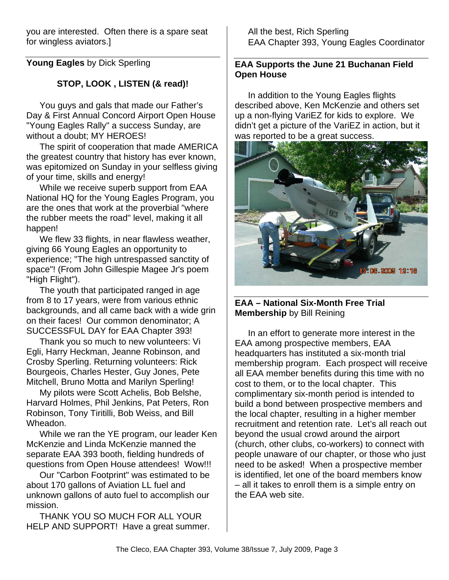you are interested. Often there is a spare seat for wingless aviators.]

**Young Eagles** by Dick Sperling

## **STOP, LOOK , LISTEN (& read)!**

You guys and gals that made our Father's Day & First Annual Concord Airport Open House "Young Eagles Rally" a success Sunday, are without a doubt; MY HEROES!

The spirit of cooperation that made AMERICA the greatest country that history has ever known, was epitomized on Sunday in your selfless giving of your time, skills and energy!

While we receive superb support from EAA National HQ for the Young Eagles Program, you are the ones that work at the proverbial "where the rubber meets the road" level, making it all happen!

We flew 33 flights, in near flawless weather, giving 66 Young Eagles an opportunity to experience; "The high untrespassed sanctity of space"! (From John Gillespie Magee Jr's poem "High Flight").

The youth that participated ranged in age from 8 to 17 years, were from various ethnic backgrounds, and all came back with a wide grin on their faces! Our common denominator; A SUCCESSFUL DAY for EAA Chapter 393!

Thank you so much to new volunteers: Vi Egli, Harry Heckman, Jeanne Robinson, and Crosby Sperling. Returning volunteers: Rick Bourgeois, Charles Hester, Guy Jones, Pete Mitchell, Bruno Motta and Marilyn Sperling!

My pilots were Scott Achelis, Bob Belshe, Harvard Holmes, Phil Jenkins, Pat Peters, Ron Robinson, Tony Tiritilli, Bob Weiss, and Bill Wheadon.

While we ran the YE program, our leader Ken McKenzie and Linda McKenzie manned the separate EAA 393 booth, fielding hundreds of questions from Open House attendees! Wow!!!

Our "Carbon Footprint" was estimated to be about 170 gallons of Aviation LL fuel and unknown gallons of auto fuel to accomplish our mission.

THANK YOU SO MUCH FOR ALL YOUR HELP AND SUPPORT! Have a great summer. All the best, Rich Sperling EAA Chapter 393, Young Eagles Coordinator

## **EAA Supports the June 21 Buchanan Field Open House**

In addition to the Young Eagles flights described above, Ken McKenzie and others set up a non-flying VariEZ for kids to explore. We didn't get a picture of the VariEZ in action, but it was reported to be a great success.



## **EAA – National Six-Month Free Trial Membership** by Bill Reining

In an effort to generate more interest in the EAA among prospective members, EAA headquarters has instituted a six-month trial membership program. Each prospect will receive all EAA member benefits during this time with no cost to them, or to the local chapter. This complimentary six-month period is intended to build a bond between prospective members and the local chapter, resulting in a higher member recruitment and retention rate. Let's all reach out beyond the usual crowd around the airport (church, other clubs, co-workers) to connect with people unaware of our chapter, or those who just need to be asked! When a prospective member is identified, let one of the board members know – all it takes to enroll them is a simple entry on the EAA web site.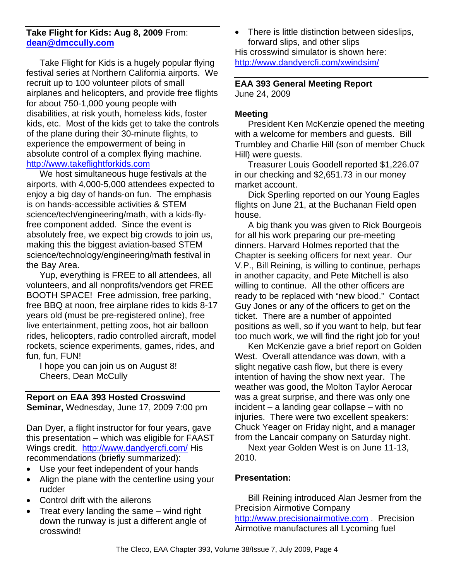## **Take Flight for Kids: Aug 8, 2009** From: **dean@dmccully.com**

Take Flight for Kids is a hugely popular flying festival series at Northern California airports. We recruit up to 100 volunteer pilots of small airplanes and helicopters, and provide free flights for about 750-1,000 young people with disabilities, at risk youth, homeless kids, foster kids, etc. Most of the kids get to take the controls of the plane during their 30-minute flights, to experience the empowerment of being in absolute control of a complex flying machine. http://www.takeflightforkids.com

We host simultaneous huge festivals at the airports, with 4,000-5,000 attendees expected to enjoy a big day of hands-on fun. The emphasis is on hands-accessible activities & STEM science/tech/engineering/math, with a kids-flyfree component added. Since the event is absolutely free, we expect big crowds to join us, making this the biggest aviation-based STEM science/technology/engineering/math festival in the Bay Area.

Yup, everything is FREE to all attendees, all volunteers, and all nonprofits/vendors get FREE BOOTH SPACE! Free admission, free parking, free BBQ at noon, free airplane rides to kids 8-17 years old (must be pre-registered online), free live entertainment, petting zoos, hot air balloon rides, helicopters, radio controlled aircraft, model rockets, science experiments, games, rides, and fun, fun, FUN!

I hope you can join us on August 8! Cheers, Dean McCully

## **Report on EAA 393 Hosted Crosswind**

**Seminar,** Wednesday, June 17, 2009 7:00 pm

Dan Dyer, a flight instructor for four years, gave this presentation – which was eligible for FAAST Wings credit. http://www.dandyercfi.com/ His recommendations (briefly summarized):

- Use your feet independent of your hands
- Align the plane with the centerline using your rudder
- Control drift with the ailerons
- Treat every landing the same wind right down the runway is just a different angle of crosswind!

• There is little distinction between sideslips, forward slips, and other slips His crosswind simulator is shown here: http://www.dandyercfi.com/xwindsim/

## **EAA 393 General Meeting Report**  June 24, 2009

## **Meeting**

President Ken McKenzie opened the meeting with a welcome for members and guests. Bill Trumbley and Charlie Hill (son of member Chuck Hill) were guests.

Treasurer Louis Goodell reported \$1,226.07 in our checking and \$2,651.73 in our money market account.

Dick Sperling reported on our Young Eagles flights on June 21, at the Buchanan Field open house.

A big thank you was given to Rick Bourgeois for all his work preparing our pre-meeting dinners. Harvard Holmes reported that the Chapter is seeking officers for next year. Our V.P., Bill Reining, is willing to continue, perhaps in another capacity, and Pete Mitchell is also willing to continue. All the other officers are ready to be replaced with "new blood." Contact Guy Jones or any of the officers to get on the ticket. There are a number of appointed positions as well, so if you want to help, but fear too much work, we will find the right job for you!

Ken McKenzie gave a brief report on Golden West. Overall attendance was down, with a slight negative cash flow, but there is every intention of having the show next year. The weather was good, the Molton Taylor Aerocar was a great surprise, and there was only one incident – a landing gear collapse – with no injuries. There were two excellent speakers: Chuck Yeager on Friday night, and a manager from the Lancair company on Saturday night.

Next year Golden West is on June 11-13, 2010.

## **Presentation:**

Bill Reining introduced Alan Jesmer from the Precision Airmotive Company http://www.precisionairmotive.com . Precision Airmotive manufactures all Lycoming fuel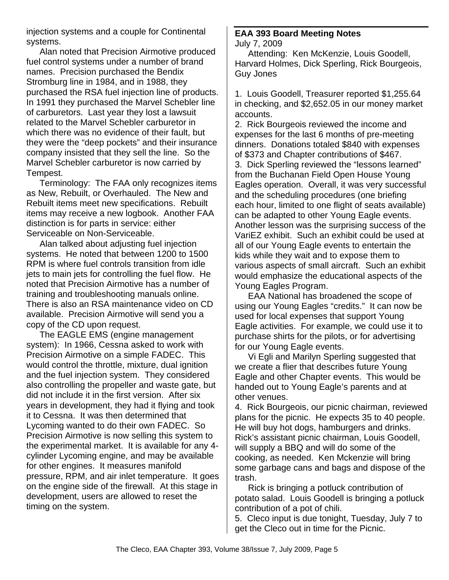injection systems and a couple for Continental systems.

Alan noted that Precision Airmotive produced fuel control systems under a number of brand names. Precision purchased the Bendix Stromburg line in 1984, and in 1988, they purchased the RSA fuel injection line of products. In 1991 they purchased the Marvel Schebler line of carburetors. Last year they lost a lawsuit related to the Marvel Schebler carburetor in which there was no evidence of their fault, but they were the "deep pockets" and their insurance company insisted that they sell the line. So the Marvel Schebler carburetor is now carried by Tempest.

Terminology: The FAA only recognizes items as New, Rebuilt, or Overhauled. The New and Rebuilt items meet new specifications. Rebuilt items may receive a new logbook. Another FAA distinction is for parts in service: either Serviceable on Non-Serviceable.

Alan talked about adjusting fuel injection systems. He noted that between 1200 to 1500 RPM is where fuel controls transition from idle jets to main jets for controlling the fuel flow. He noted that Precision Airmotive has a number of training and troubleshooting manuals online. There is also an RSA maintenance video on CD available. Precision Airmotive will send you a copy of the CD upon request.

The EAGLE EMS (engine management system): In 1966, Cessna asked to work with Precision Airmotive on a simple FADEC. This would control the throttle, mixture, dual ignition and the fuel injection system. They considered also controlling the propeller and waste gate, but did not include it in the first version. After six years in development, they had it flying and took it to Cessna. It was then determined that Lycoming wanted to do their own FADEC. So Precision Airmotive is now selling this system to the experimental market. It is available for any 4 cylinder Lycoming engine, and may be available for other engines. It measures manifold pressure, RPM, and air inlet temperature. It goes on the engine side of the firewall. At this stage in development, users are allowed to reset the timing on the system.

#### **EAA 393 Board Meeting Notes**  July 7, 2009

Attending: Ken McKenzie, Louis Goodell, Harvard Holmes, Dick Sperling, Rick Bourgeois, Guy Jones

1. Louis Goodell, Treasurer reported \$1,255.64 in checking, and \$2,652.05 in our money market accounts.

2. Rick Bourgeois reviewed the income and expenses for the last 6 months of pre-meeting dinners. Donations totaled \$840 with expenses of \$373 and Chapter contributions of \$467. 3. Dick Sperling reviewed the "lessons learned" from the Buchanan Field Open House Young Eagles operation. Overall, it was very successful and the scheduling procedures (one briefing each hour, limited to one flight of seats available) can be adapted to other Young Eagle events. Another lesson was the surprising success of the VariEZ exhibit. Such an exhibit could be used at all of our Young Eagle events to entertain the kids while they wait and to expose them to various aspects of small aircraft. Such an exhibit would emphasize the educational aspects of the Young Eagles Program.

EAA National has broadened the scope of using our Young Eagles "credits." It can now be used for local expenses that support Young Eagle activities. For example, we could use it to purchase shirts for the pilots, or for advertising for our Young Eagle events.

Vi Egli and Marilyn Sperling suggested that we create a flier that describes future Young Eagle and other Chapter events. This would be handed out to Young Eagle's parents and at other venues.

4. Rick Bourgeois, our picnic chairman, reviewed plans for the picnic. He expects 35 to 40 people. He will buy hot dogs, hamburgers and drinks. Rick's assistant picnic chairman, Louis Goodell, will supply a BBQ and will do some of the cooking, as needed. Ken Mckenzie will bring some garbage cans and bags and dispose of the trash.

Rick is bringing a potluck contribution of potato salad. Louis Goodell is bringing a potluck contribution of a pot of chili.

5. Cleco input is due tonight, Tuesday, July 7 to get the Cleco out in time for the Picnic.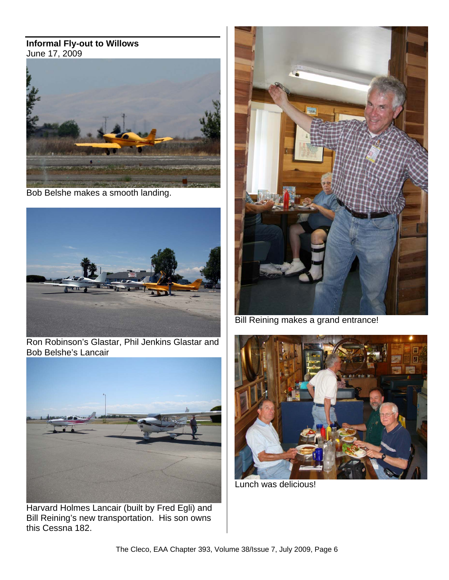#### **Informal Fly-out to Willows** June 17, 2009



Bob Belshe makes a smooth landing.



Ron Robinson's Glastar, Phil Jenkins Glastar and Bob Belshe's Lancair



Harvard Holmes Lancair (built by Fred Egli) and Bill Reining's new transportation. His son owns this Cessna 182.



Bill Reining makes a grand entrance!



Lunch was delicious!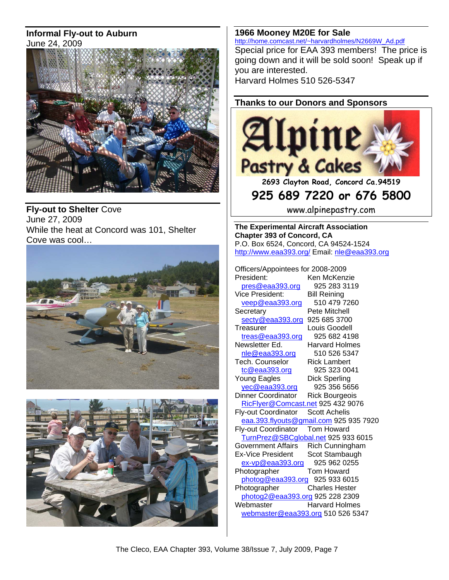## **Informal Fly-out to Auburn** June 24, 2009



**Fly-out to Shelter** Cove June 27, 2009 While the heat at Concord was 101, Shelter Cove was cool…





**1966 Mooney M20E for Sale** http://home.comcast.net/~harvardholmes/N2669W\_Ad.pdf

Special price for EAA 393 members! The price is going down and it will be sold soon! Speak up if you are interested. Harvard Holmes 510 526-5347

## **Thanks to our Donors and Sponsors**



**2693 Clayton Road, Concord Ca.94519** 

## **925 689 7220 or 676 5800**

www.alpinepastry.com

**The Experimental Aircraft Association Chapter 393 of Concord, CA**  P.O. Box 6524, Concord, CA 94524-1524 http://www.eaa393.org/ Email: nle@eaa393.org

Officers/Appointees for 2008-2009 President: Ken McKenzie pres@eaa393.org 925 283 3119 Vice President: Bill Reining veep@eaa393.org 510 479 7260 Secretary Pete Mitchell secty@eaa393.org 925 685 3700 Treasurer Louis Goodell treas@eaa393.org 925 682 4198 Newsletter Ed. Harvard Holmes nle@eaa393.org 510 526 5347 Tech. Counselor Rick Lambert tc@eaa393.org 925 323 0041 Young Eagles Dick Sperling yec@eaa393.org 925 356 5656 Dinner Coordinator Rick Bourgeois RicFlyer@Comcast.net 925 432 9076 Fly-out Coordinator Scott Achelis eaa.393.flyouts@gmail.com 925 935 7920 Fly-out Coordinator Tom Howard TurnPrez@SBCglobal.net 925 933 6015 Government Affairs Rich Cunningham Ex-Vice President Scot Stambaugh ex-vp@eaa393.org 925 962 0255<br>hotographer Tom Howard Photographer photog@eaa393.org 925 933 6015<br>Photographer Charles Hester Charles Hester photog2@eaa393.org 925 228 2309 Webmaster **Harvard Holmes** webmaster@eaa393.org 510 526 5347